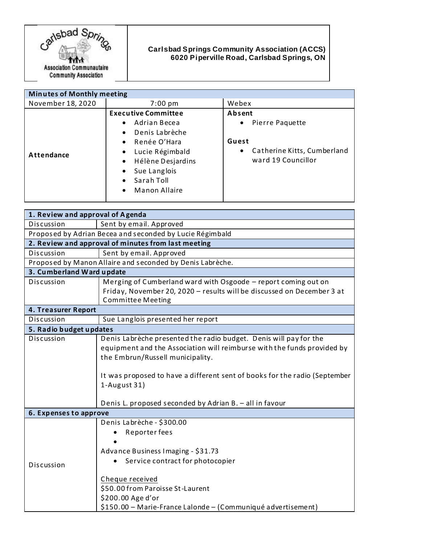

## **Carlsbad Springs Community Association (ACCS) 6020 Piperville Road, Carlsbad Springs, ON**

| <b>Minutes of Monthly meeting</b> |                                                                                                                                                                                                                                                                             |                                                                                                           |
|-----------------------------------|-----------------------------------------------------------------------------------------------------------------------------------------------------------------------------------------------------------------------------------------------------------------------------|-----------------------------------------------------------------------------------------------------------|
| November 18, 2020                 | $7:00 \text{ pm}$                                                                                                                                                                                                                                                           | Webex                                                                                                     |
| Attendance                        | <b>Executive Committee</b><br>Adrian Becea<br>$\bullet$<br>Denis Labrèche<br>$\bullet$<br>Renée O'Hara<br>$\bullet$<br>Lucie Régimbald<br>$\bullet$<br>Hélène Desjardins<br>$\bullet$<br>Sue Langlois<br>$\bullet$<br>Sarah Toll<br>$\bullet$<br>Manon Allaire<br>$\bullet$ | Absent<br>Pierre Paquette<br>$\bullet$<br>Guest<br>Catherine Kitts, Cumberland<br>٠<br>ward 19 Councillor |

| 1. Review and approval of Agenda                          |                                                                                                                                                                                  |  |
|-----------------------------------------------------------|----------------------------------------------------------------------------------------------------------------------------------------------------------------------------------|--|
| Discussion                                                | Sent by email. Approved                                                                                                                                                          |  |
| Proposed by Adrian Becea and seconded by Lucie Régimbald  |                                                                                                                                                                                  |  |
| 2. Review and approval of minutes from last meeting       |                                                                                                                                                                                  |  |
| Discussion                                                | Sent by email. Approved                                                                                                                                                          |  |
| Proposed by Manon Allaire and seconded by Denis Labrèche. |                                                                                                                                                                                  |  |
| 3. Cumberland Ward update                                 |                                                                                                                                                                                  |  |
| Discussion                                                | Merging of Cumberland ward with Osgoode - report coming out on                                                                                                                   |  |
|                                                           | Friday, November 20, 2020 - results will be discussed on December 3 at<br><b>Committee Meeting</b>                                                                               |  |
| 4. Treasurer Report                                       |                                                                                                                                                                                  |  |
| Discussion                                                | Sue Langlois presented her report                                                                                                                                                |  |
| 5. Radio budget updates                                   |                                                                                                                                                                                  |  |
| Discussion                                                | Denis Labrèche presented the radio budget. Denis will pay for the<br>equipment and the Association will reimburse with the funds provided by<br>the Embrun/Russell municipality. |  |
|                                                           | It was proposed to have a different sent of books for the radio (September<br>$1-August 31)$<br>Denis L. proposed seconded by Adrian B. - all in favour                          |  |
| 6. Expenses to approve                                    |                                                                                                                                                                                  |  |
|                                                           | Denis Labrèche - \$300.00<br>Reporter fees<br>Advance Business Imaging - \$31.73                                                                                                 |  |
| Discussion                                                | Service contract for photocopier<br>Cheque received<br>\$50.00 from Paroisse St-Laurent<br>\$200.00 Age d'or<br>\$150.00 - Marie-France Lalonde - (Communiqué advertisement)     |  |